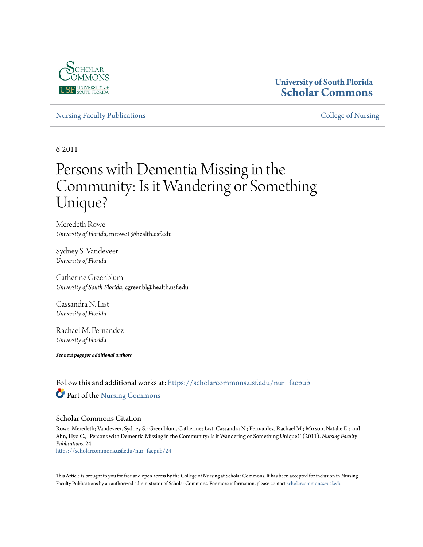

# **University of South Florida [Scholar Commons](https://scholarcommons.usf.edu?utm_source=scholarcommons.usf.edu%2Fnur_facpub%2F24&utm_medium=PDF&utm_campaign=PDFCoverPages)**

[Nursing Faculty Publications](https://scholarcommons.usf.edu/nur_facpub?utm_source=scholarcommons.usf.edu%2Fnur_facpub%2F24&utm_medium=PDF&utm_campaign=PDFCoverPages) **[College of Nursing](https://scholarcommons.usf.edu/nur?utm_source=scholarcommons.usf.edu%2Fnur_facpub%2F24&utm_medium=PDF&utm_campaign=PDFCoverPages)** 

6-2011

# Persons with Dementia Missing in the Community: Is it Wandering or Something Unique?

Meredeth Rowe *University of Florida*, mrowe1@health.usf.edu

Sydney S. Vandeveer *University of Florida*

Catherine Greenblum *University of South Florida*, cgreenbl@health.usf.edu

Cassandra N. List *University of Florida*

Rachael M. Fernandez *University of Florida*

*See next page for additional authors*

Follow this and additional works at: [https://scholarcommons.usf.edu/nur\\_facpub](https://scholarcommons.usf.edu/nur_facpub?utm_source=scholarcommons.usf.edu%2Fnur_facpub%2F24&utm_medium=PDF&utm_campaign=PDFCoverPages) Part of the [Nursing Commons](http://network.bepress.com/hgg/discipline/718?utm_source=scholarcommons.usf.edu%2Fnur_facpub%2F24&utm_medium=PDF&utm_campaign=PDFCoverPages)

# Scholar Commons Citation

Rowe, Meredeth; Vandeveer, Sydney S.; Greenblum, Catherine; List, Cassandra N.; Fernandez, Rachael M.; Mixson, Natalie E.; and Ahn, Hyo C., "Persons with Dementia Missing in the Community: Is it Wandering or Something Unique?" (2011). *Nursing Faculty Publications*. 24.

[https://scholarcommons.usf.edu/nur\\_facpub/24](https://scholarcommons.usf.edu/nur_facpub/24?utm_source=scholarcommons.usf.edu%2Fnur_facpub%2F24&utm_medium=PDF&utm_campaign=PDFCoverPages)

This Article is brought to you for free and open access by the College of Nursing at Scholar Commons. It has been accepted for inclusion in Nursing Faculty Publications by an authorized administrator of Scholar Commons. For more information, please contact [scholarcommons@usf.edu.](mailto:scholarcommons@usf.edu)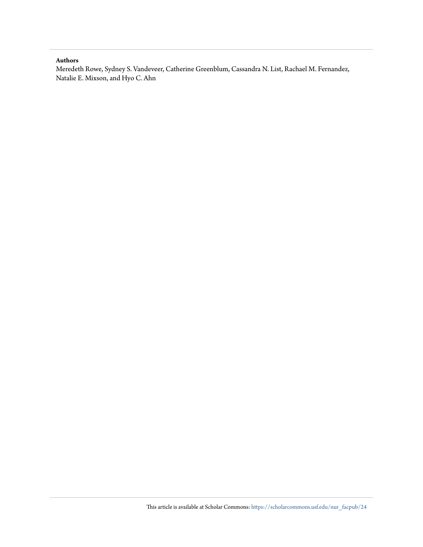# **Authors**

Meredeth Rowe, Sydney S. Vandeveer, Catherine Greenblum, Cassandra N. List, Rachael M. Fernandez, Natalie E. Mixson, and Hyo C. Ahn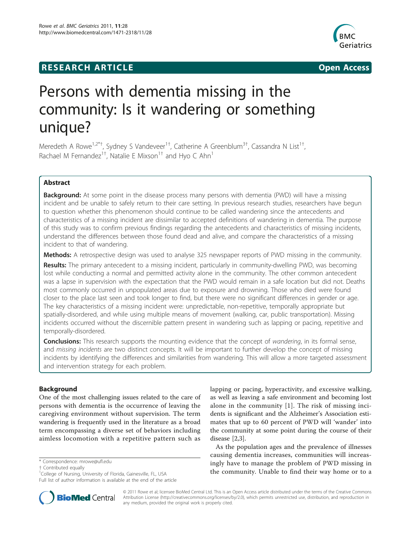# **RESEARCH ARTICLE Example 2018 12:00 THE Open Access**



# Persons with dementia missing in the community: Is it wandering or something unique?

Meredeth A Rowe<sup>1,2\*†</sup>, Sydney S Vandeveer<sup>1†</sup>, Catherine A Greenblum<sup>3†</sup>, Cassandra N List<sup>1†</sup> , Rachael M Fernandez<sup>1†</sup>, Natalie E Mixson<sup>1†</sup> and Hyo C Ahn<sup>1</sup>

# Abstract

**Background:** At some point in the disease process many persons with dementia (PWD) will have a missing incident and be unable to safely return to their care setting. In previous research studies, researchers have begun to question whether this phenomenon should continue to be called wandering since the antecedents and characteristics of a missing incident are dissimilar to accepted definitions of wandering in dementia. The purpose of this study was to confirm previous findings regarding the antecedents and characteristics of missing incidents, understand the differences between those found dead and alive, and compare the characteristics of a missing incident to that of wandering.

Methods: A retrospective design was used to analyse 325 newspaper reports of PWD missing in the community.

Results: The primary antecedent to a missing incident, particularly in community-dwelling PWD, was becoming lost while conducting a normal and permitted activity alone in the community. The other common antecedent was a lapse in supervision with the expectation that the PWD would remain in a safe location but did not. Deaths most commonly occurred in unpopulated areas due to exposure and drowning. Those who died were found closer to the place last seen and took longer to find, but there were no significant differences in gender or age. The key characteristics of a missing incident were: unpredictable, non-repetitive, temporally appropriate but spatially-disordered, and while using multiple means of movement (walking, car, public transportation). Missing incidents occurred without the discernible pattern present in wandering such as lapping or pacing, repetitive and temporally-disordered.

**Conclusions:** This research supports the mounting evidence that the concept of wandering, in its formal sense, and missing incidents are two distinct concepts. It will be important to further develop the concept of missing incidents by identifying the differences and similarities from wandering. This will allow a more targeted assessment and intervention strategy for each problem.

# Background

One of the most challenging issues related to the care of persons with dementia is the occurrence of leaving the caregiving environment without supervision. The term wandering is frequently used in the literature as a broad term encompassing a diverse set of behaviors including aimless locomotion with a repetitive pattern such as

† Contributed equally <sup>1</sup>



As the population ages and the prevalence of illnesses causing dementia increases, communities will increasingly have to manage the problem of PWD missing in the community. Unable to find their way home or to a



© 2011 Rowe et al; licensee BioMed Central Ltd. This is an Open Access article distributed under the terms of the Creative Commons Attribution License [\(http://creativecommons.org/licenses/by/2.0](http://creativecommons.org/licenses/by/2.0)), which permits unrestricted use, distribution, and reproduction in any medium, provided the original work is properly cited.

<sup>\*</sup> Correspondence: [mrowe@ufl.edu](mailto:mrowe@ufl.edu)

<sup>&</sup>lt;sup>1</sup>College of Nursing, University of Florida, Gainesville, FL, USA Full list of author information is available at the end of the article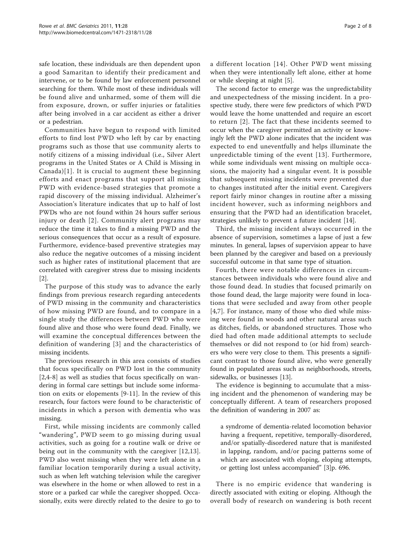safe location, these individuals are then dependent upon a good Samaritan to identify their predicament and intervene, or to be found by law enforcement personnel searching for them. While most of these individuals will be found alive and unharmed, some of them will die from exposure, drown, or suffer injuries or fatalities after being involved in a car accident as either a driver or a pedestrian.

Communities have begun to respond with limited efforts to find lost PWD who left by car by enacting programs such as those that use community alerts to notify citizens of a missing individual (i.e., Silver Alert programs in the United States or A Child is Missing in Canada)[[1\]](#page-8-0). It is crucial to augment these beginning efforts and enact programs that support all missing PWD with evidence-based strategies that promote a rapid discovery of the missing individual. Alzheimer's Association's literature indicates that up to half of lost PWDs who are not found within 24 hours suffer serious injury or death [[2](#page-9-0)]. Community alert programs may reduce the time it takes to find a missing PWD and the serious consequences that occur as a result of exposure. Furthermore, evidence-based preventive strategies may also reduce the negative outcomes of a missing incident such as higher rates of institutional placement that are correlated with caregiver stress due to missing incidents [[2\]](#page-9-0).

The purpose of this study was to advance the early findings from previous research regarding antecedents of PWD missing in the community and characteristics of how missing PWD are found, and to compare in a single study the differences between PWD who were found alive and those who were found dead. Finally, we will examine the conceptual differences between the definition of wandering [[3](#page-9-0)] and the characteristics of missing incidents.

The previous research in this area consists of studies that focus specifically on PWD lost in the community [[2,4](#page-9-0)-[8\]](#page-9-0) as well as studies that focus specifically on wandering in formal care settings but include some information on exits or elopements [[9](#page-9-0)-[11\]](#page-9-0). In the review of this research, four factors were found to be characteristic of incidents in which a person with dementia who was missing.

First, while missing incidents are commonly called "wandering", PWD seem to go missing during usual activities, such as going for a routine walk or drive or being out in the community with the caregiver [[12,13](#page-9-0)]. PWD also went missing when they were left alone in a familiar location temporarily during a usual activity, such as when left watching television while the caregiver was elsewhere in the home or when allowed to rest in a store or a parked car while the caregiver shopped. Occasionally, exits were directly related to the desire to go to a different location [[14\]](#page-9-0). Other PWD went missing when they were intentionally left alone, either at home or while sleeping at night [[5\]](#page-9-0).

The second factor to emerge was the unpredictability and unexpectedness of the missing incident. In a prospective study, there were few predictors of which PWD would leave the home unattended and require an escort to return [[2](#page-9-0)]. The fact that these incidents seemed to occur when the caregiver permitted an activity or knowingly left the PWD alone indicates that the incident was expected to end uneventfully and helps illuminate the unpredictable timing of the event [[13](#page-9-0)]. Furthermore, while some individuals went missing on multiple occasions, the majority had a singular event. It is possible that subsequent missing incidents were prevented due to changes instituted after the initial event. Caregivers report fairly minor changes in routine after a missing incident however, such as informing neighbors and ensuring that the PWD had an identification bracelet, strategies unlikely to prevent a future incident [\[14\]](#page-9-0).

Third, the missing incident always occurred in the absence of supervision, sometimes a lapse of just a few minutes. In general, lapses of supervision appear to have been planned by the caregiver and based on a previously successful outcome in that same type of situation.

Fourth, there were notable differences in circumstances between individuals who were found alive and those found dead. In studies that focused primarily on those found dead, the large majority were found in locations that were secluded and away from other people [[4,7](#page-9-0)]. For instance, many of those who died while missing were found in woods and other natural areas such as ditches, fields, or abandoned structures. Those who died had often made additional attempts to seclude themselves or did not respond to (or hid from) searchers who were very close to them. This presents a significant contrast to those found alive, who were generally found in populated areas such as neighborhoods, streets, sidewalks, or businesses [[13\]](#page-9-0).

The evidence is beginning to accumulate that a missing incident and the phenomenon of wandering may be conceptually different. A team of researchers proposed the definition of wandering in 2007 as:

a syndrome of dementia-related locomotion behavior having a frequent, repetitive, temporally-disordered, and/or spatially-disordered nature that is manifested in lapping, random, and/or pacing patterns some of which are associated with eloping, eloping attempts, or getting lost unless accompanied" [\[3](#page-9-0)]p. 696.

There is no empiric evidence that wandering is directly associated with exiting or eloping. Although the overall body of research on wandering is both recent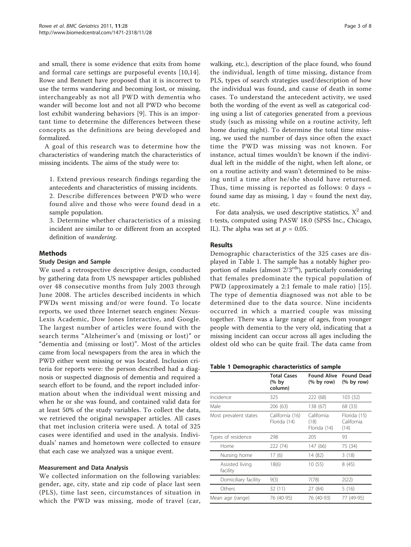and small, there is some evidence that exits from home and formal care settings are purposeful events [\[10,14](#page-9-0)]. Rowe and Bennett have proposed that it is incorrect to use the terms wandering and becoming lost, or missing, interchangeably as not all PWD with dementia who wander will become lost and not all PWD who become lost exhibit wandering behaviors [[9\]](#page-9-0). This is an important time to determine the differences between these concepts as the definitions are being developed and formalized.

A goal of this research was to determine how the characteristics of wandering match the characteristics of missing incidents. The aims of the study were to:

1. Extend previous research findings regarding the antecedents and characteristics of missing incidents.

2. Describe differences between PWD who were found alive and those who were found dead in a sample population.

3. Determine whether characteristics of a missing incident are similar to or different from an accepted definition of wandering.

# Methods

# Study Design and Sample

We used a retrospective descriptive design, conducted by gathering data from US newspaper articles published over 48 consecutive months from July 2003 through June 2008. The articles described incidents in which PWDs went missing and/or were found. To locate reports, we used three Internet search engines: Nexus-Lexis Academic, Dow Jones Interactive, and Google. The largest number of articles were found with the search terms "Alzheimer's and (missing or lost)" or "dementia and (missing or lost)". Most of the articles came from local newspapers from the area in which the PWD either went missing or was located. Inclusion criteria for reports were: the person described had a diagnosis or suspected diagnosis of dementia and required a search effort to be found, and the report included information about when the individual went missing and when he or she was found, and contained valid data for at least 50% of the study variables. To collect the data, we retrieved the original newspaper articles. All cases that met inclusion criteria were used. A total of 325 cases were identified and used in the analysis. Individuals' names and hometown were collected to ensure that each case we analyzed was a unique event.

## Measurement and Data Analysis

We collected information on the following variables: gender, age, city, state and zip code of place last seen (PLS), time last seen, circumstances of situation in which the PWD was missing, mode of travel (car, walking, etc.), description of the place found, who found the individual, length of time missing, distance from PLS, types of search strategies used/description of how the individual was found, and cause of death in some cases. To understand the antecedent activity, we used both the wording of the event as well as categorical coding using a list of categories generated from a previous study (such as missing while on a routine activity, left home during night). To determine the total time missing, we used the number of days since often the exact time the PWD was missing was not known. For instance, actual times wouldn't be known if the individual left in the middle of the night, when left alone, or on a routine activity and wasn't determined to be missing until a time after he/she should have returned. Thus, time missing is reported as follows: 0 days  $=$ found same day as missing,  $1 \, \text{day} = \text{found}$  the next day, etc.

For data analysis, we used descriptive statistics,  $X^2$  and t-tests, computed using PASW 18.0 (SPSS Inc., Chicago, IL). The alpha was set at  $p = 0.05$ .

# Results

Demographic characteristics of the 325 cases are displayed in Table 1. The sample has a notably higher proportion of males (almost  $2/3^{rds}$ ), particularly considering that females predominate the typical population of PWD (approximately a 2:1 female to male ratio) [[15](#page-9-0)]. The type of dementia diagnosed was not able to be determined due to the data source. Nine incidents occurred in which a married couple was missing together. There was a large range of ages, from younger people with dementia to the very old, indicating that a missing incident can occur across all ages including the oldest old who can be quite frail. The data came from

|                             | <b>Total Cases</b><br>(% by<br>column) | <b>Found Alive</b><br>$(% \mathcal{L}_{0})$ (% by row) | <b>Found Dead</b><br>$(% \mathbf{A})$ (% by row) |
|-----------------------------|----------------------------------------|--------------------------------------------------------|--------------------------------------------------|
| Incidence                   | 325                                    | 222 (68)                                               | 103 (32)                                         |
| Male                        | 206 (63)                               | 138 (67)                                               | 68 (33)                                          |
| Most prevalent states       | California (16)<br>Florida (14)        | California<br>(18)<br>Florida (14)                     | Florida (15)<br>California<br>(14)               |
| Types of residence          | 298                                    | 205                                                    | 93                                               |
| Home                        | 222 (74)                               | 147 (66)                                               | 75 (34)                                          |
| Nursing home                | 17(6)                                  | 14 (82)                                                | 3(18)                                            |
| Assisted living<br>facility | 18(6)                                  | 10 (55)                                                | 8(45)                                            |
| Domiciliary facility        | 9(3)                                   | 7(78)                                                  | 2(22)                                            |
| Others                      | 32 (11)                                | 27 (84)                                                | 5(16)                                            |
| Mean age (range)            | 76 (40-95)                             | 76 (40-93)                                             | 77 (49-95)                                       |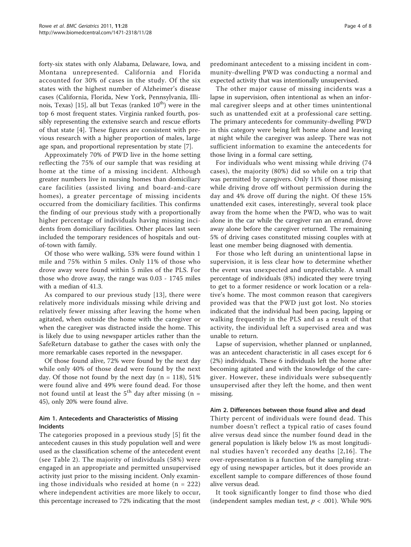forty-six states with only Alabama, Delaware, Iowa, and Montana unrepresented. California and Florida accounted for 30% of cases in the study. Of the six states with the highest number of Alzheimer's disease cases (California, Florida, New York, Pennsylvania, Illi-nois, Texas) [\[15](#page-9-0)], all but Texas (ranked  $10^{th}$ ) were in the top 6 most frequent states. Virginia ranked fourth, possibly representing the extensive search and rescue efforts of that state [[4\]](#page-9-0). These figures are consistent with previous research with a higher proportion of males, large age span, and proportional representation by state [[7](#page-9-0)].

Approximately 70% of PWD live in the home setting reflecting the 75% of our sample that was residing at home at the time of a missing incident. Although greater numbers live in nursing homes than domiciliary care facilities (assisted living and board-and-care homes), a greater percentage of missing incidents occurred from the domiciliary facilities. This confirms the finding of our previous study with a proportionally higher percentage of individuals having missing incidents from domiciliary facilities. Other places last seen included the temporary residences of hospitals and outof-town with family.

Of those who were walking, 53% were found within 1 mile and 75% within 5 miles. Only 11% of those who drove away were found within 5 miles of the PLS. For those who drove away, the range was 0.03 - 1745 miles with a median of 41.3.

As compared to our previous study [\[13\]](#page-9-0), there were relatively more individuals missing while driving and relatively fewer missing after leaving the home when agitated, when outside the home with the caregiver or when the caregiver was distracted inside the home. This is likely due to using newspaper articles rather than the SafeReturn database to gather the cases with only the more remarkable cases reported in the newspaper.

Of those found alive, 72% were found by the next day while only 40% of those dead were found by the next day. Of those not found by the next day  $(n = 118)$ , 51% were found alive and 49% were found dead. For those not found until at least the  $5<sup>th</sup>$  day after missing (n = 45), only 20% were found alive.

# Aim 1. Antecedents and Characteristics of Missing Incidents

The categories proposed in a previous study [\[5](#page-9-0)] fit the antecedent causes in this study population well and were used as the classification scheme of the antecedent event (see Table [2](#page-6-0)). The majority of individuals (58%) were engaged in an appropriate and permitted unsupervised activity just prior to the missing incident. Only examining those individuals who resided at home  $(n = 222)$ where independent activities are more likely to occur, this percentage increased to 72% indicating that the most Page 4 of 8

predominant antecedent to a missing incident in community-dwelling PWD was conducting a normal and expected activity that was intentionally unsupervised.

The other major cause of missing incidents was a lapse in supervision, often intentional as when an informal caregiver sleeps and at other times unintentional such as unattended exit at a professional care setting. The primary antecedents for community-dwelling PWD in this category were being left home alone and leaving at night while the caregiver was asleep. There was not sufficient information to examine the antecedents for those living in a formal care setting,

For individuals who went missing while driving (74 cases), the majority (80%) did so while on a trip that was permitted by caregivers. Only 11% of those missing while driving drove off without permission during the day and 4% drove off during the night. Of these 15% unattended exit cases, interestingly, several took place away from the home when the PWD, who was to wait alone in the car while the caregiver ran an errand, drove away alone before the caregiver returned. The remaining 5% of driving cases constituted missing couples with at least one member being diagnosed with dementia.

For those who left during an unintentional lapse in supervision, it is less clear how to determine whether the event was unexpected and unpredictable. A small percentage of individuals (8%) indicated they were trying to get to a former residence or work location or a relative's home. The most common reason that caregivers provided was that the PWD just got lost. No stories indicated that the individual had been pacing, lapping or walking frequently in the PLS and as a result of that activity, the individual left a supervised area and was unable to return.

Lapse of supervision, whether planned or unplanned, was an antecedent characteristic in all cases except for 6 (2%) individuals. These 6 individuals left the home after becoming agitated and with the knowledge of the caregiver. However, these individuals were subsequently unsupervised after they left the home, and then went missing.

# Aim 2. Differences between those found alive and dead

Thirty percent of individuals were found dead. This number doesn't reflect a typical ratio of cases found alive versus dead since the number found dead in the general population is likely below 1% as most longitudinal studies haven't recorded any deaths [[2](#page-9-0),[16](#page-9-0)]. The over-representation is a function of the sampling strategy of using newspaper articles, but it does provide an excellent sample to compare differences of those found alive versus dead.

It took significantly longer to find those who died (independent samples median test,  $p < .001$ ). While 90%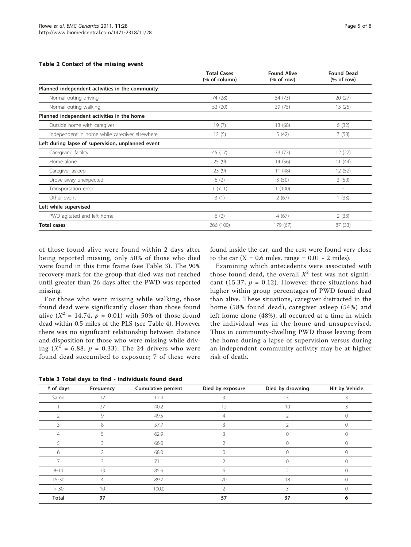#### <span id="page-6-0"></span>Table 2 Context of the missing event

|                                                   | <b>Total Cases</b><br>(% of column) | <b>Found Alive</b><br>(% of row) | <b>Found Dead</b><br>$(% \mathcal{L}_{0}^{\prime }\mathcal{L}_{1})$ (% of row) |
|---------------------------------------------------|-------------------------------------|----------------------------------|--------------------------------------------------------------------------------|
| Planned independent activities in the community   |                                     |                                  |                                                                                |
| Normal outing driving                             | 74 (28)                             | 54 (73)                          | 20 (27)                                                                        |
| Normal outing walking                             | 52 (20)                             | 39 (75)                          | 13(25)                                                                         |
| Planned independent activities in the home        |                                     |                                  |                                                                                |
| Outside home with caregiver                       | 19(7)                               | 13 (68)                          | 6(32)                                                                          |
| Independent in home while caregiver elsewhere     | 12(5)                               | 5(42)                            | 7(58)                                                                          |
| Left during lapse of supervision, unplanned event |                                     |                                  |                                                                                |
| Caregiving facility                               | 45 (17)                             | 33(73)                           | 12(27)                                                                         |
| Home alone                                        | 25(9)                               | 14 (56)                          | 11(44)                                                                         |
| Caregiver asleep                                  | 23(9)                               | 11(48)                           | 12 (52)                                                                        |
| Drove away unexpected                             | 6(2)                                | 3(50)                            | 3(50)                                                                          |
| Transportation error                              | 1 (< 1)                             | 1(100)                           | $\overline{\phantom{a}}$                                                       |
| Other event                                       | 3(1)                                | 2(67)                            | 1(33)                                                                          |
| Left while supervised                             |                                     |                                  |                                                                                |
| PWD agitated and left home                        | 6(2)                                | 4(67)                            | 2(33)                                                                          |
| <b>Total cases</b>                                | 266 (100)                           | 179 (67)                         | 87(33)                                                                         |

of those found alive were found within 2 days after being reported missing, only 50% of those who died were found in this time frame (see Table 3). The 90% recovery mark for the group that died was not reached until greater than 26 days after the PWD was reported missing.

For those who went missing while walking, those found dead were significantly closer than those found alive  $(X^2 = 14.74, p = 0.01)$  with 50% of those found dead within 0.5 miles of the PLS (see Table [4](#page-7-0)). However there was no significant relationship between distance and disposition for those who were missing while driving ( $X^2$  = 6.88,  $p$  = 0.33). The 24 drivers who were found dead succumbed to exposure; 7 of these were

Table 3 Total days to find - individuals found dead

found inside the car, and the rest were found very close to the car  $(X = 0.6 \text{ miles}, \text{range} = 0.01 - 2 \text{ miles}).$ 

Examining which antecedents were associated with those found dead, the overall  $X^2$  test was not significant (15.37,  $p = 0.12$ ). However three situations had higher within group percentages of PWD found dead than alive. These situations, caregiver distracted in the home (58% found dead), caregiver asleep (54%) and left home alone (48%), all occurred at a time in which the individual was in the home and unsupervised. Thus in community-dwelling PWD those leaving from the home during a lapse of supervision versus during an independent community activity may be at higher risk of death.

| # of days    | Frequency | <b>Cumulative percent</b> | Died by exposure | Died by drowning | Hit by Vehicle |
|--------------|-----------|---------------------------|------------------|------------------|----------------|
| Same         | 12        | 12.4                      | 3                |                  |                |
|              | 27        | 40.2                      | 12               | 10 <sup>°</sup>  |                |
| ำ            | 9         | 49.5                      |                  |                  |                |
| ζ            | 8         | 57.7                      |                  |                  |                |
| 4            |           | 62.9                      |                  |                  |                |
| 5            | 3         | 66.0                      | $\mathcal{P}$    | Ω                | 0              |
| 6            |           | 68.0                      | $\Omega$         | Ω                |                |
|              | 3         | 71.1                      |                  |                  |                |
| $8 - 14$     | 13        | 85.6                      | 6                |                  |                |
| $15 - 30$    | 4         | 89.7                      | 20               | 18               |                |
| > 30         | 10        | 100.0                     |                  | ς                |                |
| <b>Total</b> | 97        |                           | 57               | 37               | n              |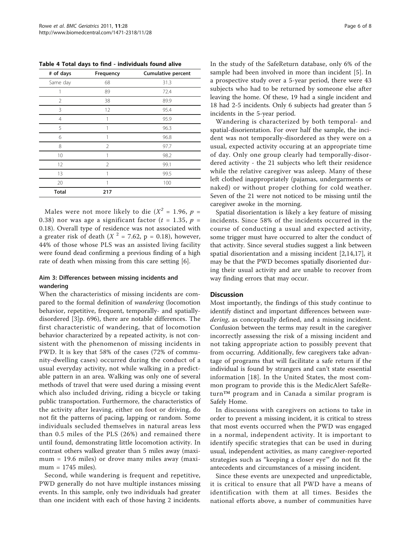<span id="page-7-0"></span>Table 4 Total days to find - individuals found alive

| # of days    | Frequency      | <b>Cumulative percent</b> |
|--------------|----------------|---------------------------|
| Same day     | 68             | 31.3                      |
|              | 89             | 72.4                      |
| 2            | 38             | 89.9                      |
| 3            | 12             | 95.4                      |
| 4            | 1              | 95.9                      |
| 5            | 1              | 96.3                      |
| 6            | 1              | 96.8                      |
| 8            | $\mathfrak{D}$ | 97.7                      |
| 10           |                | 98.2                      |
| 12           | $\overline{2}$ | 99.1                      |
| 13           | 1              | 99.5                      |
| 20           |                | 100                       |
| <b>Total</b> | 217            |                           |

Males were not more likely to die ( $X^2 = 1.96$ ,  $p =$ 0.38) nor was age a significant factor ( $t = 1.35$ ,  $p =$ 0.18). Overall type of residence was not associated with a greater risk of death ( $X^2 = 7.62$ , p = 0.18), however, 44% of those whose PLS was an assisted living facility were found dead confirming a previous finding of a high rate of death when missing from this care setting [[6\]](#page-9-0).

# Aim 3: Differences between missing incidents and wandering

When the characteristics of missing incidents are compared to the formal definition of wandering (locomotion behavior, repetitive, frequent, temporally- and spatiallydisordered [[3\]](#page-9-0)p. 696), there are notable differences. The first characteristic of wandering, that of locomotion behavior characterized by a repeated activity, is not consistent with the phenomenon of missing incidents in PWD. It is key that 58% of the cases (72% of community-dwelling cases) occurred during the conduct of a usual everyday activity, not while walking in a predictable pattern in an area. Walking was only one of several methods of travel that were used during a missing event which also included driving, riding a bicycle or taking public transportation. Furthermore, the characteristics of the activity after leaving, either on foot or driving, do not fit the patterns of pacing, lapping or random. Some individuals secluded themselves in natural areas less than 0.5 miles of the PLS (26%) and remained there until found, demonstrating little locomotion activity. In contrast others walked greater than 5 miles away (maximum = 19.6 miles) or drove many miles away (maximum = 1745 miles).

Second, while wandering is frequent and repetitive, PWD generally do not have multiple instances missing events. In this sample, only two individuals had greater than one incident with each of those having 2 incidents. Page 6 of 8

In the study of the SafeReturn database, only 6% of the sample had been involved in more than incident [[5\]](#page-9-0). In a prospective study over a 5-year period, there were 43 subjects who had to be returned by someone else after leaving the home. Of these, 19 had a single incident and 18 had 2-5 incidents. Only 6 subjects had greater than 5 incidents in the 5-year period.

Wandering is characterized by both temporal- and spatial-disorientation. For over half the sample, the incident was not temporally-disordered as they were on a usual, expected activity occuring at an appropriate time of day. Only one group clearly had temporally-disordered activity - the 21 subjects who left their residence while the relative caregiver was asleep. Many of these left clothed inappropriately (pajamas, undergarments or naked) or without proper clothing for cold weather. Seven of the 21 were not noticed to be missing until the caregiver awoke in the morning.

Spatial disorientation is likely a key feature of missing incidents. Since 58% of the incidents occurred in the course of conducting a usual and expected activity, some trigger must have occurred to alter the conduct of that activity. Since several studies suggest a link between spatial disorientation and a missing incident [\[2,14,17](#page-9-0)], it may be that the PWD becomes spatially disoriented during their usual activity and are unable to recover from way finding errors that may occur.

# **Discussion**

Most importantly, the findings of this study continue to identify distinct and important differences between wandering, as conceptually defined, and a missing incident. Confusion between the terms may result in the caregiver incorrectly assessing the risk of a missing incident and not taking appropriate action to possibly prevent that from occurring. Additionally, few caregivers take advantage of programs that will facilitate a safe return if the individual is found by strangers and can't state essential information [\[18\]](#page-9-0). In the United States, the most common program to provide this is the MedicAlert SafeReturn™ program and in Canada a similar program is Safely Home.

In discussions with caregivers on actions to take in order to prevent a missing incident, it is critical to stress that most events occurred when the PWD was engaged in a normal, independent activity. It is important to identify specific strategies that can be used in during usual, independent activities, as many caregiver-reported strategies such as "keeping a closer eye'" do not fit the antecedents and circumstances of a missing incident.

Since these events are unexpected and unpredictable, it is critical to ensure that all PWD have a means of identification with them at all times. Besides the national efforts above, a number of communities have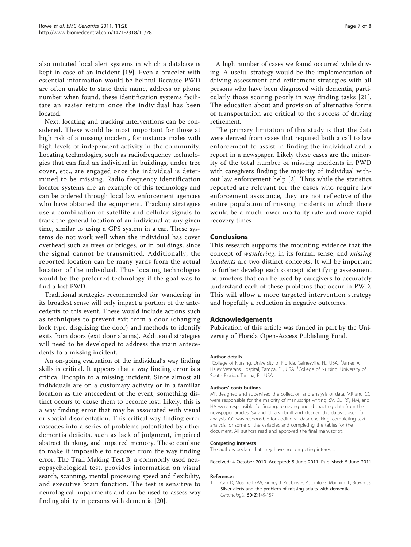<span id="page-8-0"></span>also initiated local alert systems in which a database is kept in case of an incident [\[19\]](#page-9-0). Even a bracelet with essential information would be helpful Because PWD are often unable to state their name, address or phone number when found, these identification systems facilitate an easier return once the individual has been located.

Next, locating and tracking interventions can be considered. These would be most important for those at high risk of a missing incident, for instance males with high levels of independent activity in the community. Locating technologies, such as radiofrequency technologies that can find an individual in buildings, under tree cover, etc., are engaged once the individual is determined to be missing. Radio frequency identification locator systems are an example of this technology and can be ordered through local law enforcement agencies who have obtained the equipment. Tracking strategies use a combination of satellite and cellular signals to track the general location of an individual at any given time, similar to using a GPS system in a car. These systems do not work well when the individual has cover overhead such as trees or bridges, or in buildings, since the signal cannot be transmitted. Additionally, the reported location can be many yards from the actual location of the individual. Thus locating technologies would be the preferred technology if the goal was to find a lost PWD.

Traditional strategies recommended for 'wandering' in its broadest sense will only impact a portion of the antecedents to this event. These would include actions such as techniques to prevent exit from a door (changing lock type, disguising the door) and methods to identify exits from doors (exit door alarms). Additional strategies will need to be developed to address the main antecedents to a missing incident.

An on-going evaluation of the individual's way finding skills is critical. It appears that a way finding error is a critical linchpin to a missing incident. Since almost all individuals are on a customary activity or in a familiar location as the antecedent of the event, something distinct occurs to cause them to become lost. Likely, this is a way finding error that may be associated with visual or spatial disorientation. This critical way finding error cascades into a series of problems potentiated by other dementia deficits, such as lack of judgment, impaired abstract thinking, and impaired memory. These combine to make it impossible to recover from the way finding error. The Trail Making Test B, a commonly used neuropsychological test, provides information on visual search, scanning, mental processing speed and flexibility, and executive brain function. The test is sensitive to neurological impairments and can be used to assess way finding ability in persons with dementia [[20\]](#page-9-0).

A high number of cases we found occurred while driving. A useful strategy would be the implementation of driving assessment and retirement strategies with all persons who have been diagnosed with dementia, particularly those scoring poorly in way finding tasks [[21](#page-9-0)]. The education about and provision of alternative forms of transportation are critical to the success of driving retirement.

The primary limitation of this study is that the data were derived from cases that required both a call to law enforcement to assist in finding the individual and a report in a newspaper. Likely these cases are the minority of the total number of missing incidents in PWD with caregivers finding the majority of individual without law enforcement help [[2](#page-9-0)]. Thus while the statistics reported are relevant for the cases who require law enforcement assistance, they are not reflective of the entire population of missing incidents in which there would be a much lower mortality rate and more rapid recovery times.

# Conclusions

This research supports the mounting evidence that the concept of wandering, in its formal sense, and missing incidents are two distinct concepts. It will be important to further develop each concept identifying assessment parameters that can be used by caregivers to accurately understand each of these problems that occur in PWD. This will allow a more targeted intervention strategy and hopefully a reduction in negative outcomes.

## Acknowledgements

Publication of this article was funded in part by the University of Florida Open-Access Publishing Fund.

#### Author details

<sup>1</sup>College of Nursing, University of Florida, Gainesville, FL, USA. <sup>2</sup>James A. Haley Veterans Hospital, Tampa, FL, USA. <sup>3</sup>College of Nursing, University of South Florida, Tampa, FL, USA.

#### Authors' contributions

MR designed and supervised the collection and analysis of data. MR and CG were responsible for the majority of manuscript writing. SV, CL, RF, NM, and HA were responsible for finding, retrieving and abstracting data from the newspaper articles. SV and CL also built and cleaned the dataset used for analysis. CG was responsible for additional data checking, completing text analysis for some of the variables and completing the tables for the document. All authors read and approved the final manuscript.

#### Competing interests

The authors declare that they have no competing interests.

Received: 4 October 2010 Accepted: 5 June 2011 Published: 5 June 2011

#### References

1. Carr D, Muschert GW, Kinney J, Robbins E, Petonito G, Manning L, Brown JS: Silver alerts and the problem of missing adults with dementia. Gerontologist 50(2):149-157.